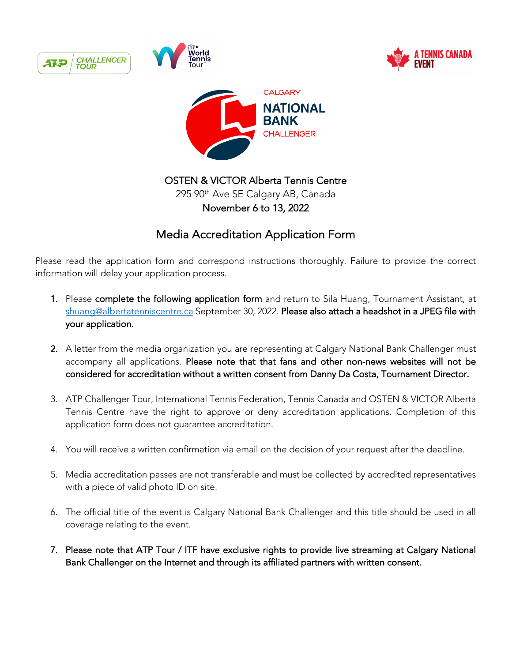

Please read the application form and correspond instructions thoroughly. Failure to provide the correct information will delay your application process.

- 1. Please complete the following application form and return to Sila Huang, Tournament Assistant, at shuang@albertatenniscentre.ca September 30, 2022. Please also attach a headshot in a JPEG file with your application.
- 2. A letter from the media organization you are representing at Calgary National Bank Challenger must accompany all applications. Please note that that fans and other non-news websites will not be considered for accreditation without a written consent from Danny Da Costa, Tournament Director.
- 3. ATP Challenger Tour, International Tennis Federation, Tennis Canada and OSTEN & VICTOR Alberta Tennis Centre have the right to approve or deny accreditation applications. Completion of this application form does not guarantee accreditation.
- 4. You will receive a written confirmation via email on the decision of your request after the deadline.
- 5. Media accreditation passes are not transferable and must be collected by accredited representatives with a piece of valid photo ID on site.
- 6. The official title of the event is Calgary National Bank Challenger and this title should be used in all coverage relating to the event.
- 7. Please note that ATP Tour / ITF have exclusive rights to provide live streaming at Calgary National Bank Challenger on the Internet and through its affiliated partners with written consent.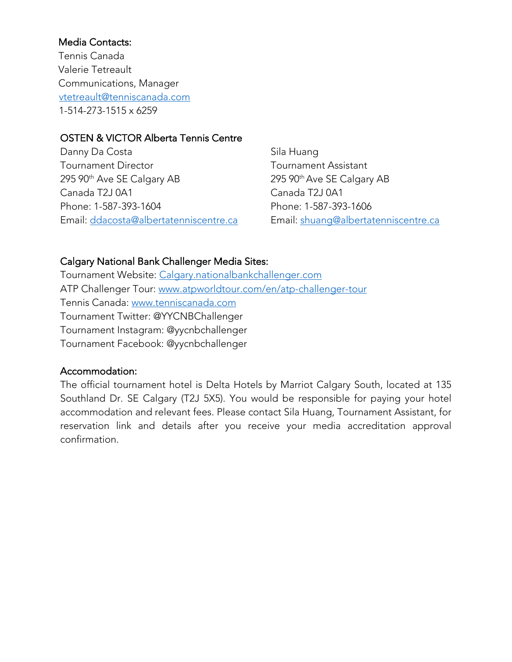## Media Contacts:

 Tennis Canada Valerie Tetreault Communications, Manager vtetreault@tenniscanada.com 1-514-273-1515 x 6259

#### OSTEN & VICTOR Alberta Tennis Centre

Danny Da Costa Tournament Director 295 90<sup>th</sup> Ave SE Calgary AB Canada T2J 0A1 Phone: 1-587-393-1604 Email: ddacosta@albertatenniscentre.ca

Sila Huang Tournament Assistant 295 90th Ave SE Calgary AB Canada T2J 0A1 Phone: 1-587-393-1606 Email: shuang@albertatenniscentre.ca

### Calgary National Bank Challenger Media Sites:

Tournament Website: Calgary.nationalbankchallenger.com ATP Challenger Tour: www.atpworldtour.com/en/atp-challenger-tour Tennis Canada: www.tenniscanada.com Tournament Twitter: @YYCNBChallenger Tournament Instagram: @yycnbchallenger Tournament Facebook: @yycnbchallenger

#### Accommodation:

The official tournament hotel is Delta Hotels by Marriot Calgary South, located at 135 Southland Dr. SE Calgary (T2J 5X5). You would be responsible for paying your hotel accommodation and relevant fees. Please contact Sila Huang, Tournament Assistant, for reservation link and details after you receive your media accreditation approval confirmation.